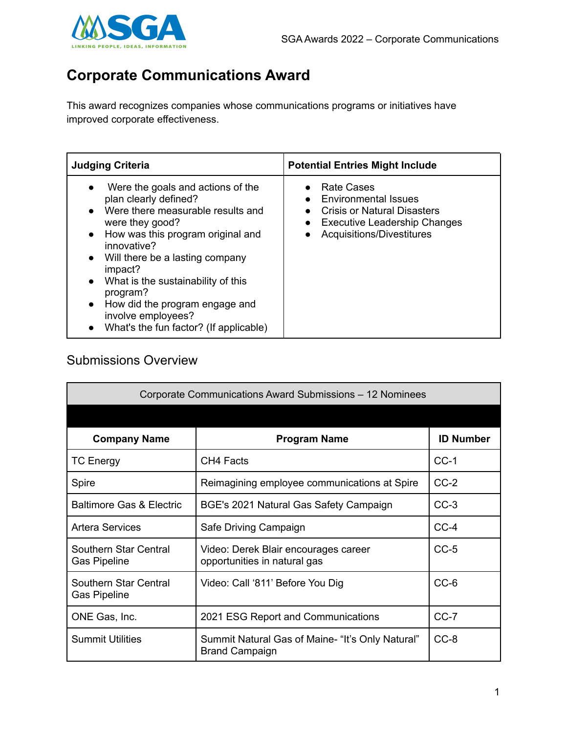

## **Corporate Communications Award**

This award recognizes companies whose communications programs or initiatives have improved corporate effectiveness.

| <b>Judging Criteria</b>                                                                                                                                                                                                                                                                                                                                                                                                      | <b>Potential Entries Might Include</b>                                                                                                                                  |
|------------------------------------------------------------------------------------------------------------------------------------------------------------------------------------------------------------------------------------------------------------------------------------------------------------------------------------------------------------------------------------------------------------------------------|-------------------------------------------------------------------------------------------------------------------------------------------------------------------------|
| Were the goals and actions of the<br>plan clearly defined?<br>Were there measurable results and<br>$\bullet$<br>were they good?<br>How was this program original and<br>innovative?<br>Will there be a lasting company<br>$\bullet$<br>impact?<br>What is the sustainability of this<br>$\bullet$<br>program?<br>How did the program engage and<br>$\bullet$<br>involve employees?<br>What's the fun factor? (If applicable) | <b>Rate Cases</b><br><b>Environmental Issues</b><br><b>Crisis or Natural Disasters</b><br><b>Executive Leadership Changes</b><br>$\bullet$<br>Acquisitions/Divestitures |

## Submissions Overview

| Corporate Communications Award Submissions - 12 Nominees |                                                                           |                  |
|----------------------------------------------------------|---------------------------------------------------------------------------|------------------|
|                                                          |                                                                           |                  |
| <b>Company Name</b>                                      | <b>Program Name</b>                                                       | <b>ID Number</b> |
| <b>TC Energy</b>                                         | CH4 Facts                                                                 | $CC-1$           |
| Spire                                                    | Reimagining employee communications at Spire                              | $CC-2$           |
| <b>Baltimore Gas &amp; Electric</b>                      | BGE's 2021 Natural Gas Safety Campaign                                    | $CC-3$           |
| <b>Artera Services</b>                                   | Safe Driving Campaign                                                     | $CC-4$           |
| Southern Star Central<br><b>Gas Pipeline</b>             | Video: Derek Blair encourages career<br>opportunities in natural gas      | $CC-5$           |
| Southern Star Central<br><b>Gas Pipeline</b>             | Video: Call '811' Before You Dig                                          | $CC-6$           |
| ONE Gas, Inc.                                            | 2021 ESG Report and Communications                                        | $CC-7$           |
| <b>Summit Utilities</b>                                  | Summit Natural Gas of Maine- "It's Only Natural"<br><b>Brand Campaign</b> | $CC-8$           |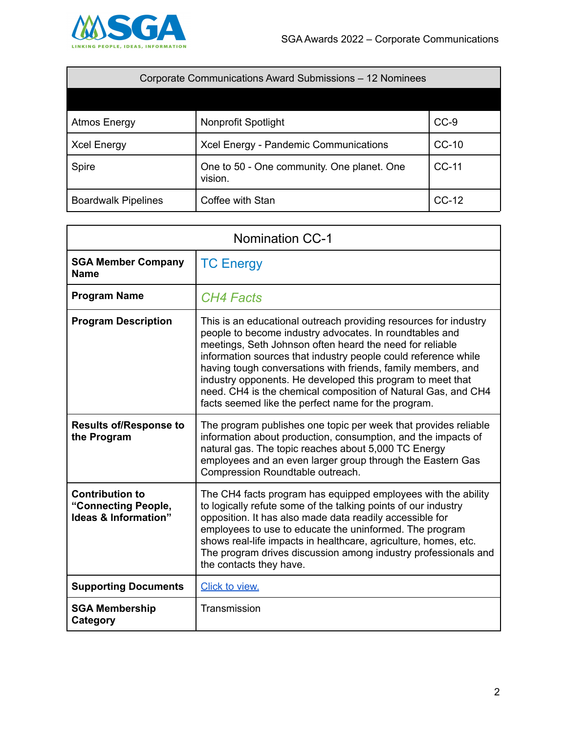

| Corporate Communications Award Submissions - 12 Nominees |                                                       |         |
|----------------------------------------------------------|-------------------------------------------------------|---------|
|                                                          |                                                       |         |
| <b>Atmos Energy</b>                                      | Nonprofit Spotlight                                   | $CC-9$  |
| <b>Xcel Energy</b>                                       | Xcel Energy - Pandemic Communications                 | $CC-10$ |
| Spire                                                    | One to 50 - One community. One planet. One<br>vision. | CC-11   |
| <b>Boardwalk Pipelines</b>                               | Coffee with Stan                                      | $CC-12$ |

| <b>Nomination CC-1</b>                                                |                                                                                                                                                                                                                                                                                                                                                                                                                                                                                                                 |
|-----------------------------------------------------------------------|-----------------------------------------------------------------------------------------------------------------------------------------------------------------------------------------------------------------------------------------------------------------------------------------------------------------------------------------------------------------------------------------------------------------------------------------------------------------------------------------------------------------|
| <b>SGA Member Company</b><br><b>Name</b>                              | <b>TC Energy</b>                                                                                                                                                                                                                                                                                                                                                                                                                                                                                                |
| <b>Program Name</b>                                                   | <b>CH4 Facts</b>                                                                                                                                                                                                                                                                                                                                                                                                                                                                                                |
| <b>Program Description</b>                                            | This is an educational outreach providing resources for industry<br>people to become industry advocates. In roundtables and<br>meetings, Seth Johnson often heard the need for reliable<br>information sources that industry people could reference while<br>having tough conversations with friends, family members, and<br>industry opponents. He developed this program to meet that<br>need. CH4 is the chemical composition of Natural Gas, and CH4<br>facts seemed like the perfect name for the program. |
| <b>Results of/Response to</b><br>the Program                          | The program publishes one topic per week that provides reliable<br>information about production, consumption, and the impacts of<br>natural gas. The topic reaches about 5,000 TC Energy<br>employees and an even larger group through the Eastern Gas<br>Compression Roundtable outreach.                                                                                                                                                                                                                      |
| <b>Contribution to</b><br>"Connecting People,<br>Ideas & Information" | The CH4 facts program has equipped employees with the ability<br>to logically refute some of the talking points of our industry<br>opposition. It has also made data readily accessible for<br>employees to use to educate the uninformed. The program<br>shows real-life impacts in healthcare, agriculture, homes, etc.<br>The program drives discussion among industry professionals and<br>the contacts they have.                                                                                          |
| <b>Supporting Documents</b>                                           | Click to view.                                                                                                                                                                                                                                                                                                                                                                                                                                                                                                  |
| <b>SGA Membership</b><br>Category                                     | Transmission                                                                                                                                                                                                                                                                                                                                                                                                                                                                                                    |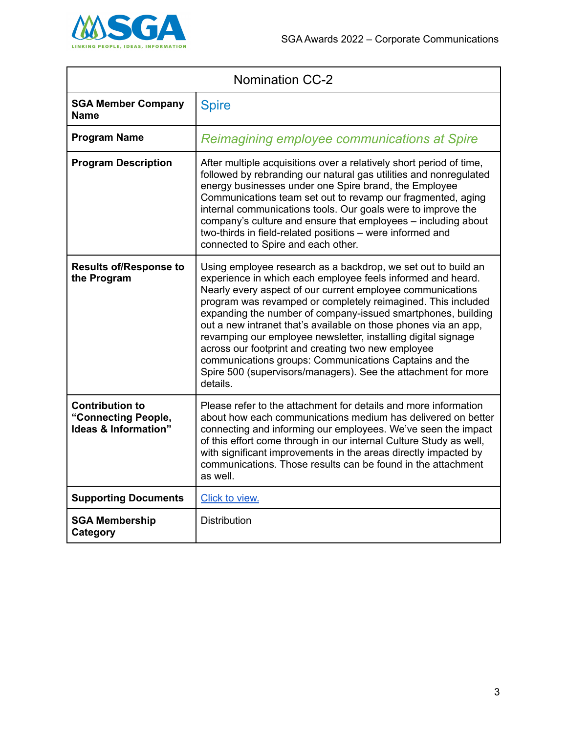

| <b>Nomination CC-2</b>                                                |                                                                                                                                                                                                                                                                                                                                                                                                                                                                                                                                                                                                                                                             |
|-----------------------------------------------------------------------|-------------------------------------------------------------------------------------------------------------------------------------------------------------------------------------------------------------------------------------------------------------------------------------------------------------------------------------------------------------------------------------------------------------------------------------------------------------------------------------------------------------------------------------------------------------------------------------------------------------------------------------------------------------|
| <b>SGA Member Company</b><br><b>Name</b>                              | <b>Spire</b>                                                                                                                                                                                                                                                                                                                                                                                                                                                                                                                                                                                                                                                |
| <b>Program Name</b>                                                   | Reimagining employee communications at Spire                                                                                                                                                                                                                                                                                                                                                                                                                                                                                                                                                                                                                |
| <b>Program Description</b>                                            | After multiple acquisitions over a relatively short period of time,<br>followed by rebranding our natural gas utilities and nonregulated<br>energy businesses under one Spire brand, the Employee<br>Communications team set out to revamp our fragmented, aging<br>internal communications tools. Our goals were to improve the<br>company's culture and ensure that employees - including about<br>two-thirds in field-related positions - were informed and<br>connected to Spire and each other.                                                                                                                                                        |
| <b>Results of/Response to</b><br>the Program                          | Using employee research as a backdrop, we set out to build an<br>experience in which each employee feels informed and heard.<br>Nearly every aspect of our current employee communications<br>program was revamped or completely reimagined. This included<br>expanding the number of company-issued smartphones, building<br>out a new intranet that's available on those phones via an app,<br>revamping our employee newsletter, installing digital signage<br>across our footprint and creating two new employee<br>communications groups: Communications Captains and the<br>Spire 500 (supervisors/managers). See the attachment for more<br>details. |
| <b>Contribution to</b><br>"Connecting People,<br>Ideas & Information" | Please refer to the attachment for details and more information<br>about how each communications medium has delivered on better<br>connecting and informing our employees. We've seen the impact<br>of this effort come through in our internal Culture Study as well,<br>with significant improvements in the areas directly impacted by<br>communications. Those results can be found in the attachment<br>as well.                                                                                                                                                                                                                                       |
| <b>Supporting Documents</b>                                           | Click to view.                                                                                                                                                                                                                                                                                                                                                                                                                                                                                                                                                                                                                                              |
| <b>SGA Membership</b><br>Category                                     | <b>Distribution</b>                                                                                                                                                                                                                                                                                                                                                                                                                                                                                                                                                                                                                                         |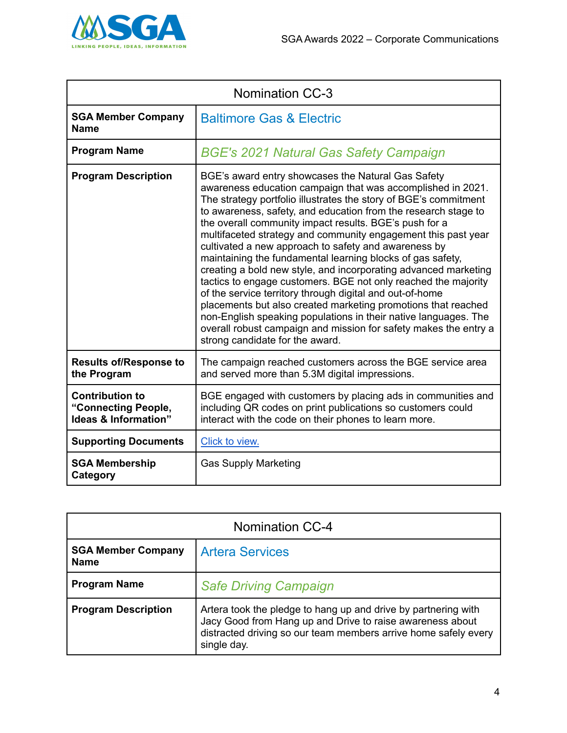

| <b>Nomination CC-3</b>                                                |                                                                                                                                                                                                                                                                                                                                                                                                                                                                                                                                                                                                                                                                                                                                                                                                                                                                                                                                                      |
|-----------------------------------------------------------------------|------------------------------------------------------------------------------------------------------------------------------------------------------------------------------------------------------------------------------------------------------------------------------------------------------------------------------------------------------------------------------------------------------------------------------------------------------------------------------------------------------------------------------------------------------------------------------------------------------------------------------------------------------------------------------------------------------------------------------------------------------------------------------------------------------------------------------------------------------------------------------------------------------------------------------------------------------|
| <b>SGA Member Company</b><br><b>Name</b>                              | <b>Baltimore Gas &amp; Electric</b>                                                                                                                                                                                                                                                                                                                                                                                                                                                                                                                                                                                                                                                                                                                                                                                                                                                                                                                  |
| <b>Program Name</b>                                                   | <b>BGE's 2021 Natural Gas Safety Campaign</b>                                                                                                                                                                                                                                                                                                                                                                                                                                                                                                                                                                                                                                                                                                                                                                                                                                                                                                        |
| <b>Program Description</b>                                            | BGE's award entry showcases the Natural Gas Safety<br>awareness education campaign that was accomplished in 2021.<br>The strategy portfolio illustrates the story of BGE's commitment<br>to awareness, safety, and education from the research stage to<br>the overall community impact results. BGE's push for a<br>multifaceted strategy and community engagement this past year<br>cultivated a new approach to safety and awareness by<br>maintaining the fundamental learning blocks of gas safety,<br>creating a bold new style, and incorporating advanced marketing<br>tactics to engage customers. BGE not only reached the majority<br>of the service territory through digital and out-of-home<br>placements but also created marketing promotions that reached<br>non-English speaking populations in their native languages. The<br>overall robust campaign and mission for safety makes the entry a<br>strong candidate for the award. |
| <b>Results of/Response to</b><br>the Program                          | The campaign reached customers across the BGE service area<br>and served more than 5.3M digital impressions.                                                                                                                                                                                                                                                                                                                                                                                                                                                                                                                                                                                                                                                                                                                                                                                                                                         |
| <b>Contribution to</b><br>"Connecting People,<br>Ideas & Information" | BGE engaged with customers by placing ads in communities and<br>including QR codes on print publications so customers could<br>interact with the code on their phones to learn more.                                                                                                                                                                                                                                                                                                                                                                                                                                                                                                                                                                                                                                                                                                                                                                 |
| <b>Supporting Documents</b>                                           | Click to view.                                                                                                                                                                                                                                                                                                                                                                                                                                                                                                                                                                                                                                                                                                                                                                                                                                                                                                                                       |
| <b>SGA Membership</b><br>Category                                     | <b>Gas Supply Marketing</b>                                                                                                                                                                                                                                                                                                                                                                                                                                                                                                                                                                                                                                                                                                                                                                                                                                                                                                                          |

| <b>Nomination CC-4</b>                   |                                                                                                                                                                                                               |
|------------------------------------------|---------------------------------------------------------------------------------------------------------------------------------------------------------------------------------------------------------------|
| <b>SGA Member Company</b><br><b>Name</b> | <b>Artera Services</b>                                                                                                                                                                                        |
| <b>Program Name</b>                      | <b>Safe Driving Campaign</b>                                                                                                                                                                                  |
| <b>Program Description</b>               | Artera took the pledge to hang up and drive by partnering with<br>Jacy Good from Hang up and Drive to raise awareness about<br>distracted driving so our team members arrive home safely every<br>single day. |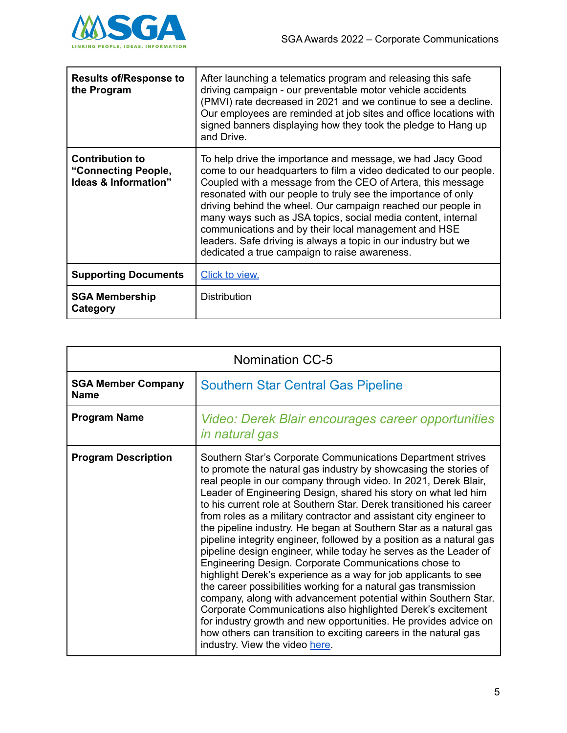

| <b>Results of/Response to</b><br>the Program                                     | After launching a telematics program and releasing this safe<br>driving campaign - our preventable motor vehicle accidents<br>(PMVI) rate decreased in 2021 and we continue to see a decline.<br>Our employees are reminded at job sites and office locations with<br>signed banners displaying how they took the pledge to Hang up<br>and Drive.                                                                                                                                                                                                                          |
|----------------------------------------------------------------------------------|----------------------------------------------------------------------------------------------------------------------------------------------------------------------------------------------------------------------------------------------------------------------------------------------------------------------------------------------------------------------------------------------------------------------------------------------------------------------------------------------------------------------------------------------------------------------------|
| <b>Contribution to</b><br>"Connecting People,<br><b>Ideas &amp; Information"</b> | To help drive the importance and message, we had Jacy Good<br>come to our headquarters to film a video dedicated to our people.<br>Coupled with a message from the CEO of Artera, this message<br>resonated with our people to truly see the importance of only<br>driving behind the wheel. Our campaign reached our people in<br>many ways such as JSA topics, social media content, internal<br>communications and by their local management and HSE<br>leaders. Safe driving is always a topic in our industry but we<br>dedicated a true campaign to raise awareness. |
| <b>Supporting Documents</b>                                                      | <b>Click to view.</b>                                                                                                                                                                                                                                                                                                                                                                                                                                                                                                                                                      |
| <b>SGA Membership</b><br>Category                                                | Distribution                                                                                                                                                                                                                                                                                                                                                                                                                                                                                                                                                               |

| <b>Nomination CC-5</b>                   |                                                                                                                                                                                                                                                                                                                                                                                                                                                                                                                                                                                                                                                                                                                                                                                                                                                                                                                                                                                                                                                                                                                                                |
|------------------------------------------|------------------------------------------------------------------------------------------------------------------------------------------------------------------------------------------------------------------------------------------------------------------------------------------------------------------------------------------------------------------------------------------------------------------------------------------------------------------------------------------------------------------------------------------------------------------------------------------------------------------------------------------------------------------------------------------------------------------------------------------------------------------------------------------------------------------------------------------------------------------------------------------------------------------------------------------------------------------------------------------------------------------------------------------------------------------------------------------------------------------------------------------------|
| <b>SGA Member Company</b><br><b>Name</b> | <b>Southern Star Central Gas Pipeline</b>                                                                                                                                                                                                                                                                                                                                                                                                                                                                                                                                                                                                                                                                                                                                                                                                                                                                                                                                                                                                                                                                                                      |
| <b>Program Name</b>                      | Video: Derek Blair encourages career opportunities<br><i>in natural gas</i>                                                                                                                                                                                                                                                                                                                                                                                                                                                                                                                                                                                                                                                                                                                                                                                                                                                                                                                                                                                                                                                                    |
| <b>Program Description</b>               | Southern Star's Corporate Communications Department strives<br>to promote the natural gas industry by showcasing the stories of<br>real people in our company through video. In 2021, Derek Blair,<br>Leader of Engineering Design, shared his story on what led him<br>to his current role at Southern Star. Derek transitioned his career<br>from roles as a military contractor and assistant city engineer to<br>the pipeline industry. He began at Southern Star as a natural gas<br>pipeline integrity engineer, followed by a position as a natural gas<br>pipeline design engineer, while today he serves as the Leader of<br>Engineering Design. Corporate Communications chose to<br>highlight Derek's experience as a way for job applicants to see<br>the career possibilities working for a natural gas transmission<br>company, along with advancement potential within Southern Star.<br>Corporate Communications also highlighted Derek's excitement<br>for industry growth and new opportunities. He provides advice on<br>how others can transition to exciting careers in the natural gas<br>industry. View the video here. |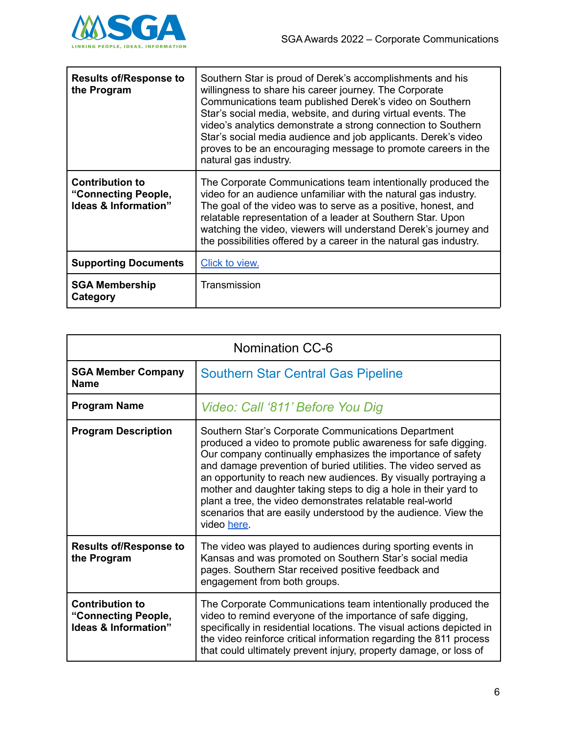

| <b>Results of/Response to</b><br>the Program                                     | Southern Star is proud of Derek's accomplishments and his<br>willingness to share his career journey. The Corporate<br>Communications team published Derek's video on Southern<br>Star's social media, website, and during virtual events. The<br>video's analytics demonstrate a strong connection to Southern<br>Star's social media audience and job applicants. Derek's video<br>proves to be an encouraging message to promote careers in the<br>natural gas industry. |
|----------------------------------------------------------------------------------|-----------------------------------------------------------------------------------------------------------------------------------------------------------------------------------------------------------------------------------------------------------------------------------------------------------------------------------------------------------------------------------------------------------------------------------------------------------------------------|
| <b>Contribution to</b><br>"Connecting People,<br><b>Ideas &amp; Information"</b> | The Corporate Communications team intentionally produced the<br>video for an audience unfamiliar with the natural gas industry.<br>The goal of the video was to serve as a positive, honest, and<br>relatable representation of a leader at Southern Star. Upon<br>watching the video, viewers will understand Derek's journey and<br>the possibilities offered by a career in the natural gas industry.                                                                    |
| <b>Supporting Documents</b>                                                      | Click to view.                                                                                                                                                                                                                                                                                                                                                                                                                                                              |
| <b>SGA Membership</b><br>Category                                                | Transmission                                                                                                                                                                                                                                                                                                                                                                                                                                                                |

| <b>Nomination CC-6</b>                                                |                                                                                                                                                                                                                                                                                                                                                                                                                                                                                                                                            |
|-----------------------------------------------------------------------|--------------------------------------------------------------------------------------------------------------------------------------------------------------------------------------------------------------------------------------------------------------------------------------------------------------------------------------------------------------------------------------------------------------------------------------------------------------------------------------------------------------------------------------------|
| <b>SGA Member Company</b><br><b>Name</b>                              | <b>Southern Star Central Gas Pipeline</b>                                                                                                                                                                                                                                                                                                                                                                                                                                                                                                  |
| <b>Program Name</b>                                                   | Video: Call '811' Before You Dig                                                                                                                                                                                                                                                                                                                                                                                                                                                                                                           |
| <b>Program Description</b>                                            | Southern Star's Corporate Communications Department<br>produced a video to promote public awareness for safe digging.<br>Our company continually emphasizes the importance of safety<br>and damage prevention of buried utilities. The video served as<br>an opportunity to reach new audiences. By visually portraying a<br>mother and daughter taking steps to dig a hole in their yard to<br>plant a tree, the video demonstrates relatable real-world<br>scenarios that are easily understood by the audience. View the<br>video here. |
| <b>Results of/Response to</b><br>the Program                          | The video was played to audiences during sporting events in<br>Kansas and was promoted on Southern Star's social media<br>pages. Southern Star received positive feedback and<br>engagement from both groups.                                                                                                                                                                                                                                                                                                                              |
| <b>Contribution to</b><br>"Connecting People,<br>Ideas & Information" | The Corporate Communications team intentionally produced the<br>video to remind everyone of the importance of safe digging,<br>specifically in residential locations. The visual actions depicted in<br>the video reinforce critical information regarding the 811 process<br>that could ultimately prevent injury, property damage, or loss of                                                                                                                                                                                            |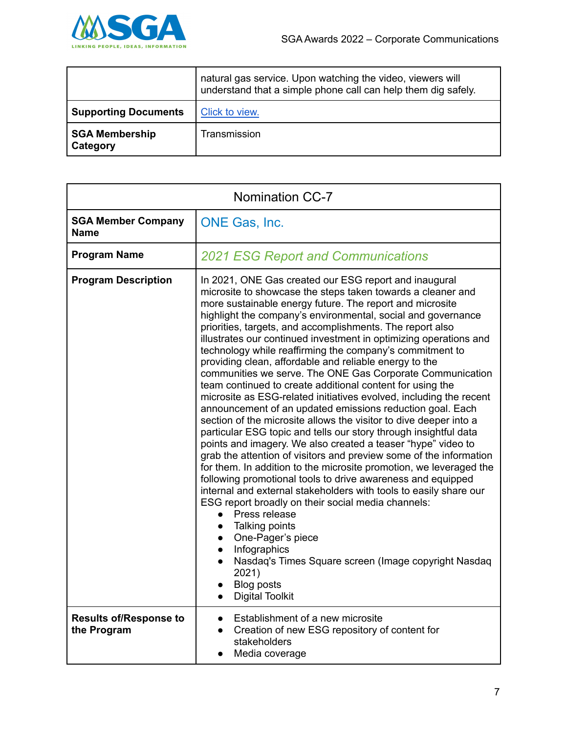

|                                   | natural gas service. Upon watching the video, viewers will<br>understand that a simple phone call can help them dig safely. |
|-----------------------------------|-----------------------------------------------------------------------------------------------------------------------------|
| <b>Supporting Documents</b>       | Click to view.                                                                                                              |
| <b>SGA Membership</b><br>Category | Transmission                                                                                                                |

| <b>Nomination CC-7</b>                       |                                                                                                                                                                                                                                                                                                                                                                                                                                                                                                                                                                                                                                                                                                                                                                                                                                                                                                                                                                                                                                                                                                                                                                                                                                                                                                                                                                                                                                                                                                                                                                    |
|----------------------------------------------|--------------------------------------------------------------------------------------------------------------------------------------------------------------------------------------------------------------------------------------------------------------------------------------------------------------------------------------------------------------------------------------------------------------------------------------------------------------------------------------------------------------------------------------------------------------------------------------------------------------------------------------------------------------------------------------------------------------------------------------------------------------------------------------------------------------------------------------------------------------------------------------------------------------------------------------------------------------------------------------------------------------------------------------------------------------------------------------------------------------------------------------------------------------------------------------------------------------------------------------------------------------------------------------------------------------------------------------------------------------------------------------------------------------------------------------------------------------------------------------------------------------------------------------------------------------------|
| <b>SGA Member Company</b><br><b>Name</b>     | ONE Gas, Inc.                                                                                                                                                                                                                                                                                                                                                                                                                                                                                                                                                                                                                                                                                                                                                                                                                                                                                                                                                                                                                                                                                                                                                                                                                                                                                                                                                                                                                                                                                                                                                      |
| <b>Program Name</b>                          | <b>2021 ESG Report and Communications</b>                                                                                                                                                                                                                                                                                                                                                                                                                                                                                                                                                                                                                                                                                                                                                                                                                                                                                                                                                                                                                                                                                                                                                                                                                                                                                                                                                                                                                                                                                                                          |
| <b>Program Description</b>                   | In 2021, ONE Gas created our ESG report and inaugural<br>microsite to showcase the steps taken towards a cleaner and<br>more sustainable energy future. The report and microsite<br>highlight the company's environmental, social and governance<br>priorities, targets, and accomplishments. The report also<br>illustrates our continued investment in optimizing operations and<br>technology while reaffirming the company's commitment to<br>providing clean, affordable and reliable energy to the<br>communities we serve. The ONE Gas Corporate Communication<br>team continued to create additional content for using the<br>microsite as ESG-related initiatives evolved, including the recent<br>announcement of an updated emissions reduction goal. Each<br>section of the microsite allows the visitor to dive deeper into a<br>particular ESG topic and tells our story through insightful data<br>points and imagery. We also created a teaser "hype" video to<br>grab the attention of visitors and preview some of the information<br>for them. In addition to the microsite promotion, we leveraged the<br>following promotional tools to drive awareness and equipped<br>internal and external stakeholders with tools to easily share our<br>ESG report broadly on their social media channels:<br>Press release<br>$\bullet$<br>Talking points<br>$\bullet$<br>• One-Pager's piece<br>Infographics<br>Nasdaq's Times Square screen (Image copyright Nasdaq<br>2021)<br><b>Blog posts</b><br>$\bullet$<br><b>Digital Toolkit</b><br>$\bullet$ |
| <b>Results of/Response to</b><br>the Program | Establishment of a new microsite<br>Creation of new ESG repository of content for<br>$\bullet$<br>stakeholders<br>Media coverage                                                                                                                                                                                                                                                                                                                                                                                                                                                                                                                                                                                                                                                                                                                                                                                                                                                                                                                                                                                                                                                                                                                                                                                                                                                                                                                                                                                                                                   |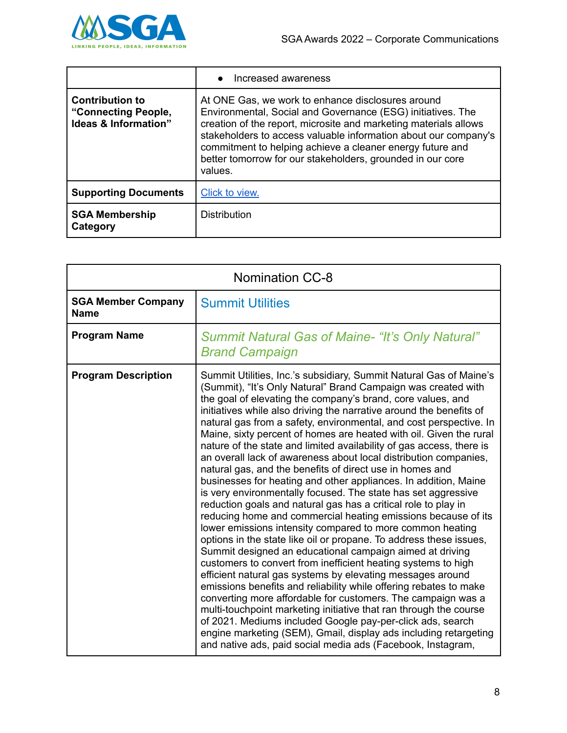

|                                                                                  | Increased awareness<br>$\bullet$                                                                                                                                                                                                                                                                                                                                                              |
|----------------------------------------------------------------------------------|-----------------------------------------------------------------------------------------------------------------------------------------------------------------------------------------------------------------------------------------------------------------------------------------------------------------------------------------------------------------------------------------------|
| <b>Contribution to</b><br>"Connecting People,<br><b>Ideas &amp; Information"</b> | At ONE Gas, we work to enhance disclosures around<br>Environmental, Social and Governance (ESG) initiatives. The<br>creation of the report, microsite and marketing materials allows<br>stakeholders to access valuable information about our company's<br>commitment to helping achieve a cleaner energy future and<br>better tomorrow for our stakeholders, grounded in our core<br>values. |
| <b>Supporting Documents</b>                                                      | Click to view.                                                                                                                                                                                                                                                                                                                                                                                |
| <b>SGA Membership</b><br>Category                                                | <b>Distribution</b>                                                                                                                                                                                                                                                                                                                                                                           |

| <b>Nomination CC-8</b>                   |                                                                                                                                                                                                                                                                                                                                                                                                                                                                                                                                                                                                                                                                                                                                                                                                                                                                                                                                                                                                                                                                                                                                                                                                                                                                                                                                                                                                                                                                                                                                                                                                                                               |
|------------------------------------------|-----------------------------------------------------------------------------------------------------------------------------------------------------------------------------------------------------------------------------------------------------------------------------------------------------------------------------------------------------------------------------------------------------------------------------------------------------------------------------------------------------------------------------------------------------------------------------------------------------------------------------------------------------------------------------------------------------------------------------------------------------------------------------------------------------------------------------------------------------------------------------------------------------------------------------------------------------------------------------------------------------------------------------------------------------------------------------------------------------------------------------------------------------------------------------------------------------------------------------------------------------------------------------------------------------------------------------------------------------------------------------------------------------------------------------------------------------------------------------------------------------------------------------------------------------------------------------------------------------------------------------------------------|
| <b>SGA Member Company</b><br><b>Name</b> | <b>Summit Utilities</b>                                                                                                                                                                                                                                                                                                                                                                                                                                                                                                                                                                                                                                                                                                                                                                                                                                                                                                                                                                                                                                                                                                                                                                                                                                                                                                                                                                                                                                                                                                                                                                                                                       |
| <b>Program Name</b>                      | <b>Summit Natural Gas of Maine- "It's Only Natural"</b><br><b>Brand Campaign</b>                                                                                                                                                                                                                                                                                                                                                                                                                                                                                                                                                                                                                                                                                                                                                                                                                                                                                                                                                                                                                                                                                                                                                                                                                                                                                                                                                                                                                                                                                                                                                              |
| <b>Program Description</b>               | Summit Utilities, Inc.'s subsidiary, Summit Natural Gas of Maine's<br>(Summit), "It's Only Natural" Brand Campaign was created with<br>the goal of elevating the company's brand, core values, and<br>initiatives while also driving the narrative around the benefits of<br>natural gas from a safety, environmental, and cost perspective. In<br>Maine, sixty percent of homes are heated with oil. Given the rural<br>nature of the state and limited availability of gas access, there is<br>an overall lack of awareness about local distribution companies,<br>natural gas, and the benefits of direct use in homes and<br>businesses for heating and other appliances. In addition, Maine<br>is very environmentally focused. The state has set aggressive<br>reduction goals and natural gas has a critical role to play in<br>reducing home and commercial heating emissions because of its<br>lower emissions intensity compared to more common heating<br>options in the state like oil or propane. To address these issues,<br>Summit designed an educational campaign aimed at driving<br>customers to convert from inefficient heating systems to high<br>efficient natural gas systems by elevating messages around<br>emissions benefits and reliability while offering rebates to make<br>converting more affordable for customers. The campaign was a<br>multi-touchpoint marketing initiative that ran through the course<br>of 2021. Mediums included Google pay-per-click ads, search<br>engine marketing (SEM), Gmail, display ads including retargeting<br>and native ads, paid social media ads (Facebook, Instagram, |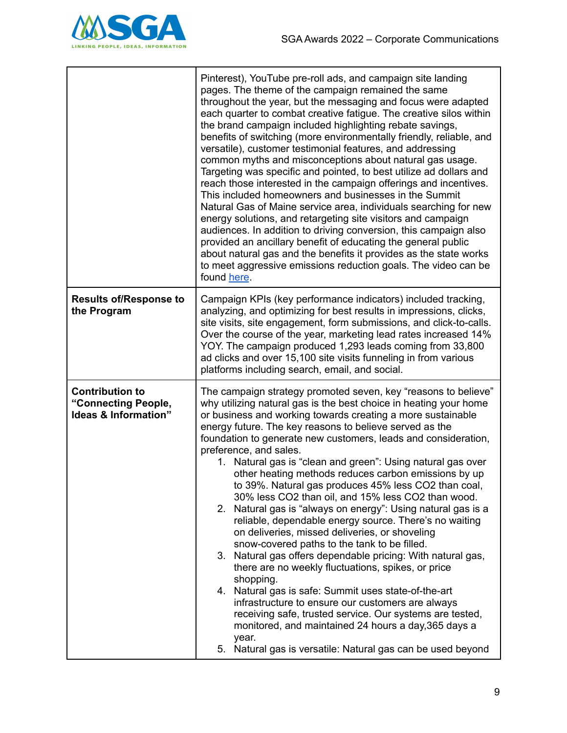

|                                                                       | Pinterest), YouTube pre-roll ads, and campaign site landing<br>pages. The theme of the campaign remained the same<br>throughout the year, but the messaging and focus were adapted<br>each quarter to combat creative fatigue. The creative silos within<br>the brand campaign included highlighting rebate savings,<br>benefits of switching (more environmentally friendly, reliable, and<br>versatile), customer testimonial features, and addressing<br>common myths and misconceptions about natural gas usage.<br>Targeting was specific and pointed, to best utilize ad dollars and<br>reach those interested in the campaign offerings and incentives.<br>This included homeowners and businesses in the Summit<br>Natural Gas of Maine service area, individuals searching for new<br>energy solutions, and retargeting site visitors and campaign<br>audiences. In addition to driving conversion, this campaign also<br>provided an ancillary benefit of educating the general public<br>about natural gas and the benefits it provides as the state works<br>to meet aggressive emissions reduction goals. The video can be<br>found here.                                                                                                                      |
|-----------------------------------------------------------------------|-----------------------------------------------------------------------------------------------------------------------------------------------------------------------------------------------------------------------------------------------------------------------------------------------------------------------------------------------------------------------------------------------------------------------------------------------------------------------------------------------------------------------------------------------------------------------------------------------------------------------------------------------------------------------------------------------------------------------------------------------------------------------------------------------------------------------------------------------------------------------------------------------------------------------------------------------------------------------------------------------------------------------------------------------------------------------------------------------------------------------------------------------------------------------------------------------------------------------------------------------------------------------------|
| <b>Results of/Response to</b><br>the Program                          | Campaign KPIs (key performance indicators) included tracking,<br>analyzing, and optimizing for best results in impressions, clicks,<br>site visits, site engagement, form submissions, and click-to-calls.<br>Over the course of the year, marketing lead rates increased 14%<br>YOY. The campaign produced 1,293 leads coming from 33,800<br>ad clicks and over 15,100 site visits funneling in from various<br>platforms including search, email, and social.                                                                                                                                                                                                                                                                                                                                                                                                                                                                                                                                                                                                                                                                                                                                                                                                             |
| <b>Contribution to</b><br>"Connecting People,<br>Ideas & Information" | The campaign strategy promoted seven, key "reasons to believe"<br>why utilizing natural gas is the best choice in heating your home<br>or business and working towards creating a more sustainable<br>energy future. The key reasons to believe served as the<br>foundation to generate new customers, leads and consideration,<br>preference, and sales.<br>1. Natural gas is "clean and green": Using natural gas over<br>other heating methods reduces carbon emissions by up<br>to 39%. Natural gas produces 45% less CO2 than coal,<br>30% less CO2 than oil, and 15% less CO2 than wood.<br>2. Natural gas is "always on energy": Using natural gas is a<br>reliable, dependable energy source. There's no waiting<br>on deliveries, missed deliveries, or shoveling<br>snow-covered paths to the tank to be filled.<br>3. Natural gas offers dependable pricing: With natural gas,<br>there are no weekly fluctuations, spikes, or price<br>shopping.<br>Natural gas is safe: Summit uses state-of-the-art<br>4.<br>infrastructure to ensure our customers are always<br>receiving safe, trusted service. Our systems are tested,<br>monitored, and maintained 24 hours a day, 365 days a<br>year.<br>Natural gas is versatile: Natural gas can be used beyond<br>5. |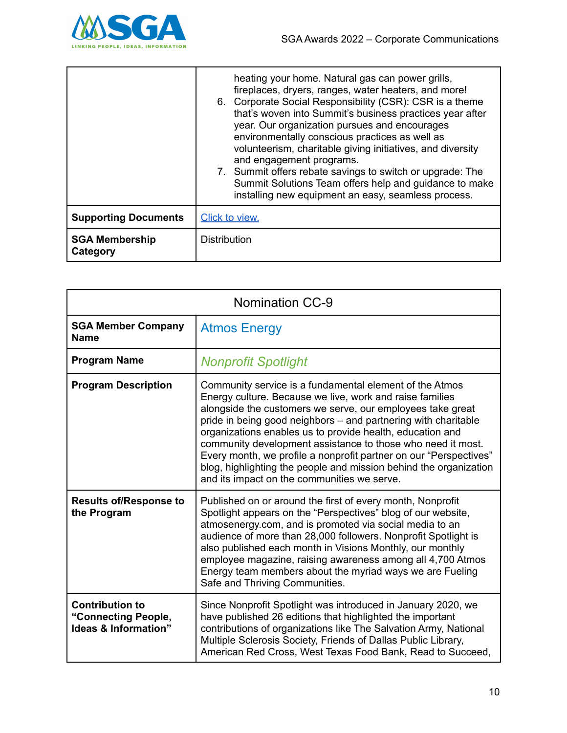

|                                   | heating your home. Natural gas can power grills,<br>fireplaces, dryers, ranges, water heaters, and more!<br>6. Corporate Social Responsibility (CSR): CSR is a theme<br>that's woven into Summit's business practices year after<br>year. Our organization pursues and encourages<br>environmentally conscious practices as well as<br>volunteerism, charitable giving initiatives, and diversity<br>and engagement programs.<br>7. Summit offers rebate savings to switch or upgrade: The<br>Summit Solutions Team offers help and guidance to make<br>installing new equipment an easy, seamless process. |
|-----------------------------------|-------------------------------------------------------------------------------------------------------------------------------------------------------------------------------------------------------------------------------------------------------------------------------------------------------------------------------------------------------------------------------------------------------------------------------------------------------------------------------------------------------------------------------------------------------------------------------------------------------------|
| <b>Supporting Documents</b>       | Click to view.                                                                                                                                                                                                                                                                                                                                                                                                                                                                                                                                                                                              |
| <b>SGA Membership</b><br>Category | <b>Distribution</b>                                                                                                                                                                                                                                                                                                                                                                                                                                                                                                                                                                                         |

| <b>Nomination CC-9</b>                                                |                                                                                                                                                                                                                                                                                                                                                                                                                                                                                                                                                                          |
|-----------------------------------------------------------------------|--------------------------------------------------------------------------------------------------------------------------------------------------------------------------------------------------------------------------------------------------------------------------------------------------------------------------------------------------------------------------------------------------------------------------------------------------------------------------------------------------------------------------------------------------------------------------|
| <b>SGA Member Company</b><br><b>Name</b>                              | <b>Atmos Energy</b>                                                                                                                                                                                                                                                                                                                                                                                                                                                                                                                                                      |
| <b>Program Name</b>                                                   | <b>Nonprofit Spotlight</b>                                                                                                                                                                                                                                                                                                                                                                                                                                                                                                                                               |
| <b>Program Description</b>                                            | Community service is a fundamental element of the Atmos<br>Energy culture. Because we live, work and raise families<br>alongside the customers we serve, our employees take great<br>pride in being good neighbors - and partnering with charitable<br>organizations enables us to provide health, education and<br>community development assistance to those who need it most.<br>Every month, we profile a nonprofit partner on our "Perspectives"<br>blog, highlighting the people and mission behind the organization<br>and its impact on the communities we serve. |
| <b>Results of/Response to</b><br>the Program                          | Published on or around the first of every month, Nonprofit<br>Spotlight appears on the "Perspectives" blog of our website,<br>atmosenergy.com, and is promoted via social media to an<br>audience of more than 28,000 followers. Nonprofit Spotlight is<br>also published each month in Visions Monthly, our monthly<br>employee magazine, raising awareness among all 4,700 Atmos<br>Energy team members about the myriad ways we are Fueling<br>Safe and Thriving Communities.                                                                                         |
| <b>Contribution to</b><br>"Connecting People,<br>Ideas & Information" | Since Nonprofit Spotlight was introduced in January 2020, we<br>have published 26 editions that highlighted the important<br>contributions of organizations like The Salvation Army, National<br>Multiple Sclerosis Society, Friends of Dallas Public Library,<br>American Red Cross, West Texas Food Bank, Read to Succeed,                                                                                                                                                                                                                                             |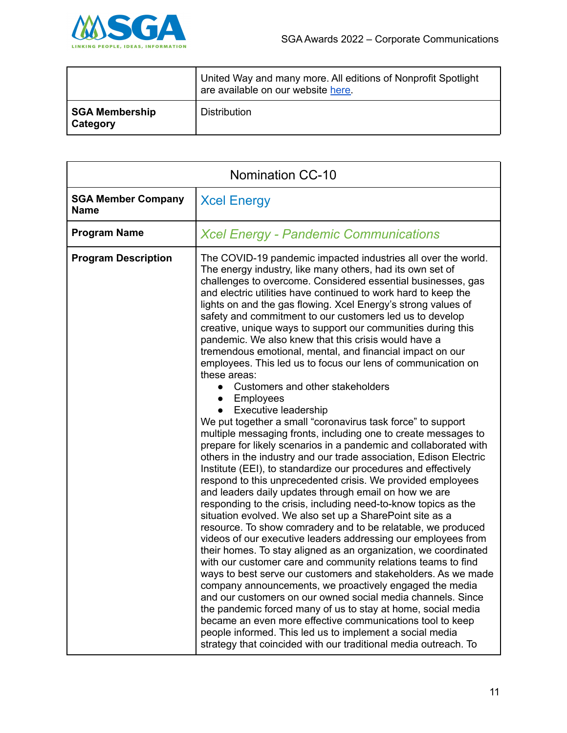

|                                   | United Way and many more. All editions of Nonprofit Spotlight<br>are available on our website here. |
|-----------------------------------|-----------------------------------------------------------------------------------------------------|
| SGA Membership<br><b>Category</b> | <b>Distribution</b>                                                                                 |

| <b>Nomination CC-10</b>                  |                                                                                                                                                                                                                                                                                                                                                                                                                                                                                                                                                                                                                                                                                                                                                                                                                                                                                                                                                                                                                                                                                                                                                                                                                                                                                                                                                                                                                                                                                                                                                                                                                                                                                                                                                                                                                                                                                                                                                                                                                                                                             |
|------------------------------------------|-----------------------------------------------------------------------------------------------------------------------------------------------------------------------------------------------------------------------------------------------------------------------------------------------------------------------------------------------------------------------------------------------------------------------------------------------------------------------------------------------------------------------------------------------------------------------------------------------------------------------------------------------------------------------------------------------------------------------------------------------------------------------------------------------------------------------------------------------------------------------------------------------------------------------------------------------------------------------------------------------------------------------------------------------------------------------------------------------------------------------------------------------------------------------------------------------------------------------------------------------------------------------------------------------------------------------------------------------------------------------------------------------------------------------------------------------------------------------------------------------------------------------------------------------------------------------------------------------------------------------------------------------------------------------------------------------------------------------------------------------------------------------------------------------------------------------------------------------------------------------------------------------------------------------------------------------------------------------------------------------------------------------------------------------------------------------------|
| <b>SGA Member Company</b><br><b>Name</b> | <b>Xcel Energy</b>                                                                                                                                                                                                                                                                                                                                                                                                                                                                                                                                                                                                                                                                                                                                                                                                                                                                                                                                                                                                                                                                                                                                                                                                                                                                                                                                                                                                                                                                                                                                                                                                                                                                                                                                                                                                                                                                                                                                                                                                                                                          |
| <b>Program Name</b>                      | <b>Xcel Energy - Pandemic Communications</b>                                                                                                                                                                                                                                                                                                                                                                                                                                                                                                                                                                                                                                                                                                                                                                                                                                                                                                                                                                                                                                                                                                                                                                                                                                                                                                                                                                                                                                                                                                                                                                                                                                                                                                                                                                                                                                                                                                                                                                                                                                |
| <b>Program Description</b>               | The COVID-19 pandemic impacted industries all over the world.<br>The energy industry, like many others, had its own set of<br>challenges to overcome. Considered essential businesses, gas<br>and electric utilities have continued to work hard to keep the<br>lights on and the gas flowing. Xcel Energy's strong values of<br>safety and commitment to our customers led us to develop<br>creative, unique ways to support our communities during this<br>pandemic. We also knew that this crisis would have a<br>tremendous emotional, mental, and financial impact on our<br>employees. This led us to focus our lens of communication on<br>these areas:<br>Customers and other stakeholders<br><b>Employees</b><br>Executive leadership<br>We put together a small "coronavirus task force" to support<br>multiple messaging fronts, including one to create messages to<br>prepare for likely scenarios in a pandemic and collaborated with<br>others in the industry and our trade association, Edison Electric<br>Institute (EEI), to standardize our procedures and effectively<br>respond to this unprecedented crisis. We provided employees<br>and leaders daily updates through email on how we are<br>responding to the crisis, including need-to-know topics as the<br>situation evolved. We also set up a SharePoint site as a<br>resource. To show comradery and to be relatable, we produced<br>videos of our executive leaders addressing our employees from<br>their homes. To stay aligned as an organization, we coordinated<br>with our customer care and community relations teams to find<br>ways to best serve our customers and stakeholders. As we made<br>company announcements, we proactively engaged the media<br>and our customers on our owned social media channels. Since<br>the pandemic forced many of us to stay at home, social media<br>became an even more effective communications tool to keep<br>people informed. This led us to implement a social media<br>strategy that coincided with our traditional media outreach. To |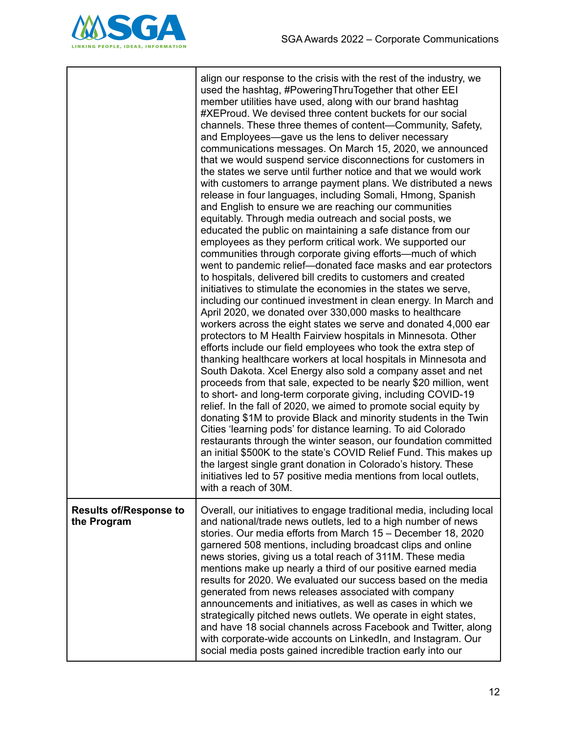

|                                              | align our response to the crisis with the rest of the industry, we<br>used the hashtag, #PoweringThruTogether that other EEI<br>member utilities have used, along with our brand hashtag<br>#XEProud. We devised three content buckets for our social<br>channels. These three themes of content-Community, Safety,<br>and Employees—gave us the lens to deliver necessary<br>communications messages. On March 15, 2020, we announced<br>that we would suspend service disconnections for customers in<br>the states we serve until further notice and that we would work<br>with customers to arrange payment plans. We distributed a news<br>release in four languages, including Somali, Hmong, Spanish<br>and English to ensure we are reaching our communities<br>equitably. Through media outreach and social posts, we<br>educated the public on maintaining a safe distance from our<br>employees as they perform critical work. We supported our<br>communities through corporate giving efforts-much of which<br>went to pandemic relief—donated face masks and ear protectors<br>to hospitals, delivered bill credits to customers and created<br>initiatives to stimulate the economies in the states we serve,<br>including our continued investment in clean energy. In March and<br>April 2020, we donated over 330,000 masks to healthcare<br>workers across the eight states we serve and donated 4,000 ear<br>protectors to M Health Fairview hospitals in Minnesota. Other<br>efforts include our field employees who took the extra step of<br>thanking healthcare workers at local hospitals in Minnesota and<br>South Dakota. Xcel Energy also sold a company asset and net<br>proceeds from that sale, expected to be nearly \$20 million, went<br>to short- and long-term corporate giving, including COVID-19<br>relief. In the fall of 2020, we aimed to promote social equity by<br>donating \$1M to provide Black and minority students in the Twin<br>Cities 'learning pods' for distance learning. To aid Colorado<br>restaurants through the winter season, our foundation committed<br>an initial \$500K to the state's COVID Relief Fund. This makes up<br>the largest single grant donation in Colorado's history. These<br>initiatives led to 57 positive media mentions from local outlets,<br>with a reach of 30M. |
|----------------------------------------------|----------------------------------------------------------------------------------------------------------------------------------------------------------------------------------------------------------------------------------------------------------------------------------------------------------------------------------------------------------------------------------------------------------------------------------------------------------------------------------------------------------------------------------------------------------------------------------------------------------------------------------------------------------------------------------------------------------------------------------------------------------------------------------------------------------------------------------------------------------------------------------------------------------------------------------------------------------------------------------------------------------------------------------------------------------------------------------------------------------------------------------------------------------------------------------------------------------------------------------------------------------------------------------------------------------------------------------------------------------------------------------------------------------------------------------------------------------------------------------------------------------------------------------------------------------------------------------------------------------------------------------------------------------------------------------------------------------------------------------------------------------------------------------------------------------------------------------------------------------------------------------------------------------------------------------------------------------------------------------------------------------------------------------------------------------------------------------------------------------------------------------------------------------------------------------------------------------------------------------------------------------------------------------------------------------------------------------------------------------|
| <b>Results of/Response to</b><br>the Program | Overall, our initiatives to engage traditional media, including local<br>and national/trade news outlets, led to a high number of news<br>stories. Our media efforts from March 15 - December 18, 2020<br>garnered 508 mentions, including broadcast clips and online<br>news stories, giving us a total reach of 311M. These media<br>mentions make up nearly a third of our positive earned media<br>results for 2020. We evaluated our success based on the media<br>generated from news releases associated with company<br>announcements and initiatives, as well as cases in which we<br>strategically pitched news outlets. We operate in eight states,<br>and have 18 social channels across Facebook and Twitter, along<br>with corporate-wide accounts on LinkedIn, and Instagram. Our<br>social media posts gained incredible traction early into our                                                                                                                                                                                                                                                                                                                                                                                                                                                                                                                                                                                                                                                                                                                                                                                                                                                                                                                                                                                                                                                                                                                                                                                                                                                                                                                                                                                                                                                                                         |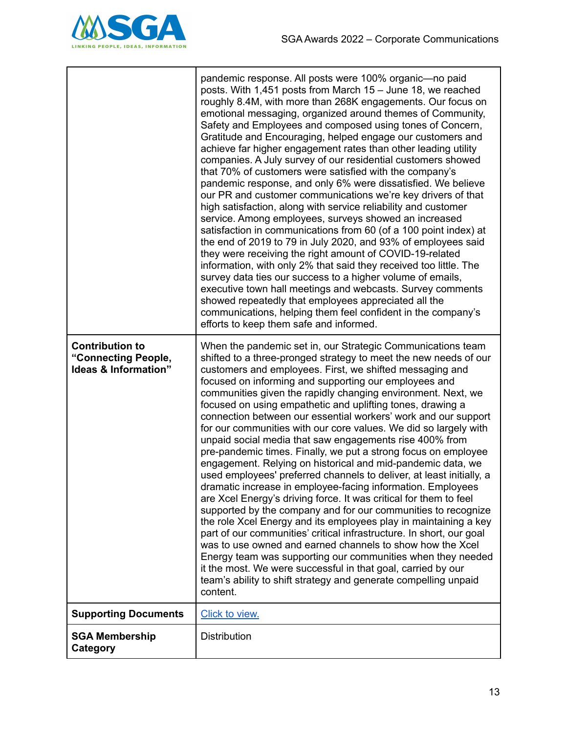

|                                                                       | pandemic response. All posts were 100% organic-no paid<br>posts. With 1,451 posts from March 15 - June 18, we reached<br>roughly 8.4M, with more than 268K engagements. Our focus on<br>emotional messaging, organized around themes of Community,<br>Safety and Employees and composed using tones of Concern,<br>Gratitude and Encouraging, helped engage our customers and<br>achieve far higher engagement rates than other leading utility<br>companies. A July survey of our residential customers showed<br>that 70% of customers were satisfied with the company's<br>pandemic response, and only 6% were dissatisfied. We believe<br>our PR and customer communications we're key drivers of that<br>high satisfaction, along with service reliability and customer<br>service. Among employees, surveys showed an increased<br>satisfaction in communications from 60 (of a 100 point index) at<br>the end of 2019 to 79 in July 2020, and 93% of employees said<br>they were receiving the right amount of COVID-19-related<br>information, with only 2% that said they received too little. The<br>survey data ties our success to a higher volume of emails,<br>executive town hall meetings and webcasts. Survey comments<br>showed repeatedly that employees appreciated all the<br>communications, helping them feel confident in the company's<br>efforts to keep them safe and informed.               |
|-----------------------------------------------------------------------|--------------------------------------------------------------------------------------------------------------------------------------------------------------------------------------------------------------------------------------------------------------------------------------------------------------------------------------------------------------------------------------------------------------------------------------------------------------------------------------------------------------------------------------------------------------------------------------------------------------------------------------------------------------------------------------------------------------------------------------------------------------------------------------------------------------------------------------------------------------------------------------------------------------------------------------------------------------------------------------------------------------------------------------------------------------------------------------------------------------------------------------------------------------------------------------------------------------------------------------------------------------------------------------------------------------------------------------------------------------------------------------------------------------------------|
| <b>Contribution to</b><br>"Connecting People,<br>Ideas & Information" | When the pandemic set in, our Strategic Communications team<br>shifted to a three-pronged strategy to meet the new needs of our<br>customers and employees. First, we shifted messaging and<br>focused on informing and supporting our employees and<br>communities given the rapidly changing environment. Next, we<br>focused on using empathetic and uplifting tones, drawing a<br>connection between our essential workers' work and our support<br>for our communities with our core values. We did so largely with<br>unpaid social media that saw engagements rise 400% from<br>pre-pandemic times. Finally, we put a strong focus on employee<br>engagement. Relying on historical and mid-pandemic data, we<br>used employees' preferred channels to deliver, at least initially, a<br>dramatic increase in employee-facing information. Employees<br>are Xcel Energy's driving force. It was critical for them to feel<br>supported by the company and for our communities to recognize<br>the role Xcel Energy and its employees play in maintaining a key<br>part of our communities' critical infrastructure. In short, our goal<br>was to use owned and earned channels to show how the Xcel<br>Energy team was supporting our communities when they needed<br>it the most. We were successful in that goal, carried by our<br>team's ability to shift strategy and generate compelling unpaid<br>content. |
| <b>Supporting Documents</b>                                           | Click to view.                                                                                                                                                                                                                                                                                                                                                                                                                                                                                                                                                                                                                                                                                                                                                                                                                                                                                                                                                                                                                                                                                                                                                                                                                                                                                                                                                                                                           |
| <b>SGA Membership</b><br>Category                                     | <b>Distribution</b>                                                                                                                                                                                                                                                                                                                                                                                                                                                                                                                                                                                                                                                                                                                                                                                                                                                                                                                                                                                                                                                                                                                                                                                                                                                                                                                                                                                                      |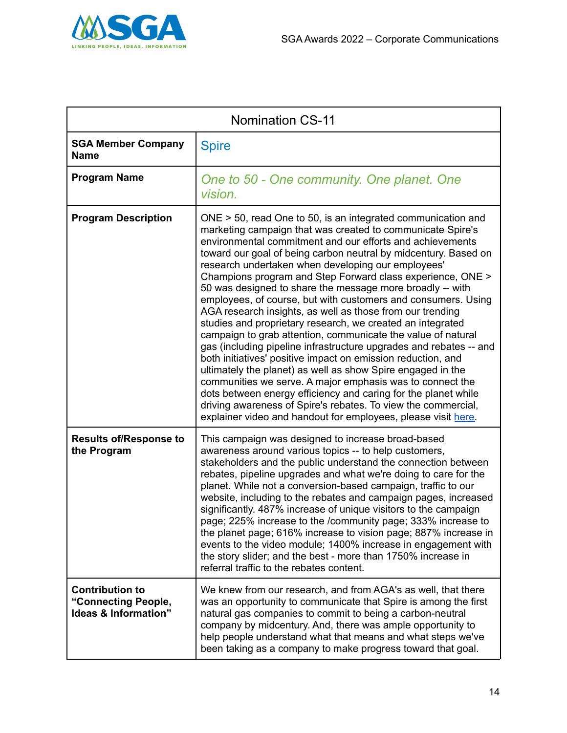

|                                                                                  | <b>Nomination CS-11</b>                                                                                                                                                                                                                                                                                                                                                                                                                                                                                                                                                                                                                                                                                                                                                                                                                                                                                                                                                                                                                                                                                                                                                          |
|----------------------------------------------------------------------------------|----------------------------------------------------------------------------------------------------------------------------------------------------------------------------------------------------------------------------------------------------------------------------------------------------------------------------------------------------------------------------------------------------------------------------------------------------------------------------------------------------------------------------------------------------------------------------------------------------------------------------------------------------------------------------------------------------------------------------------------------------------------------------------------------------------------------------------------------------------------------------------------------------------------------------------------------------------------------------------------------------------------------------------------------------------------------------------------------------------------------------------------------------------------------------------|
| <b>SGA Member Company</b><br><b>Name</b>                                         | <b>Spire</b>                                                                                                                                                                                                                                                                                                                                                                                                                                                                                                                                                                                                                                                                                                                                                                                                                                                                                                                                                                                                                                                                                                                                                                     |
| <b>Program Name</b>                                                              | One to 50 - One community. One planet. One<br>vision.                                                                                                                                                                                                                                                                                                                                                                                                                                                                                                                                                                                                                                                                                                                                                                                                                                                                                                                                                                                                                                                                                                                            |
| <b>Program Description</b>                                                       | $ONE > 50$ , read One to 50, is an integrated communication and<br>marketing campaign that was created to communicate Spire's<br>environmental commitment and our efforts and achievements<br>toward our goal of being carbon neutral by midcentury. Based on<br>research undertaken when developing our employees'<br>Champions program and Step Forward class experience, ONE ><br>50 was designed to share the message more broadly -- with<br>employees, of course, but with customers and consumers. Using<br>AGA research insights, as well as those from our trending<br>studies and proprietary research, we created an integrated<br>campaign to grab attention, communicate the value of natural<br>gas (including pipeline infrastructure upgrades and rebates -- and<br>both initiatives' positive impact on emission reduction, and<br>ultimately the planet) as well as show Spire engaged in the<br>communities we serve. A major emphasis was to connect the<br>dots between energy efficiency and caring for the planet while<br>driving awareness of Spire's rebates. To view the commercial,<br>explainer video and handout for employees, please visit here. |
| <b>Results of/Response to</b><br>the Program                                     | This campaign was designed to increase broad-based<br>awareness around various topics -- to help customers,<br>stakeholders and the public understand the connection between<br>rebates, pipeline upgrades and what we're doing to care for the<br>planet. While not a conversion-based campaign, traffic to our<br>website, including to the rebates and campaign pages, increased<br>significantly. 487% increase of unique visitors to the campaign<br>page; 225% increase to the /community page; 333% increase to<br>the planet page; 616% increase to vision page; 887% increase in<br>events to the video module; 1400% increase in engagement with<br>the story slider; and the best - more than 1750% increase in<br>referral traffic to the rebates content.                                                                                                                                                                                                                                                                                                                                                                                                           |
| <b>Contribution to</b><br>"Connecting People,<br><b>Ideas &amp; Information"</b> | We knew from our research, and from AGA's as well, that there<br>was an opportunity to communicate that Spire is among the first<br>natural gas companies to commit to being a carbon-neutral<br>company by midcentury. And, there was ample opportunity to<br>help people understand what that means and what steps we've<br>been taking as a company to make progress toward that goal.                                                                                                                                                                                                                                                                                                                                                                                                                                                                                                                                                                                                                                                                                                                                                                                        |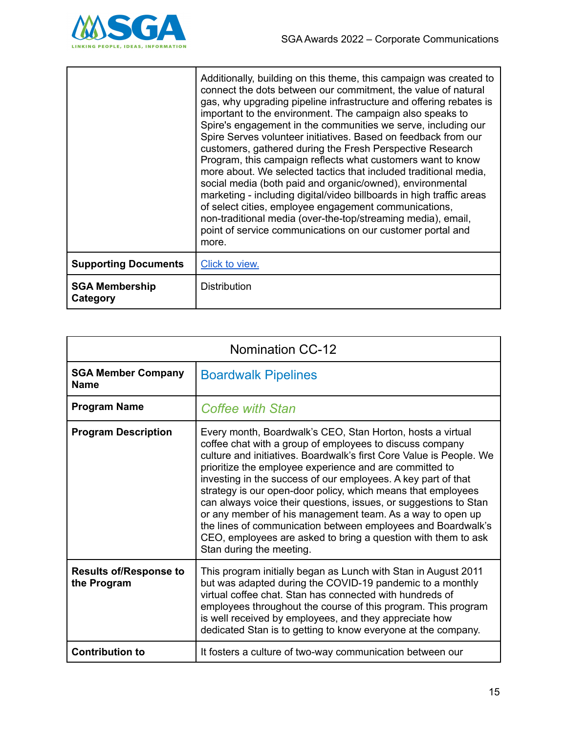

|                                          | Additionally, building on this theme, this campaign was created to<br>connect the dots between our commitment, the value of natural<br>gas, why upgrading pipeline infrastructure and offering rebates is<br>important to the environment. The campaign also speaks to<br>Spire's engagement in the communities we serve, including our<br>Spire Serves volunteer initiatives. Based on feedback from our<br>customers, gathered during the Fresh Perspective Research<br>Program, this campaign reflects what customers want to know<br>more about. We selected tactics that included traditional media,<br>social media (both paid and organic/owned), environmental<br>marketing - including digital/video billboards in high traffic areas<br>of select cities, employee engagement communications,<br>non-traditional media (over-the-top/streaming media), email,<br>point of service communications on our customer portal and<br>more. |
|------------------------------------------|------------------------------------------------------------------------------------------------------------------------------------------------------------------------------------------------------------------------------------------------------------------------------------------------------------------------------------------------------------------------------------------------------------------------------------------------------------------------------------------------------------------------------------------------------------------------------------------------------------------------------------------------------------------------------------------------------------------------------------------------------------------------------------------------------------------------------------------------------------------------------------------------------------------------------------------------|
| <b>Supporting Documents</b>              | Click to view.                                                                                                                                                                                                                                                                                                                                                                                                                                                                                                                                                                                                                                                                                                                                                                                                                                                                                                                                 |
| <b>SGA Membership</b><br><b>Category</b> | <b>Distribution</b>                                                                                                                                                                                                                                                                                                                                                                                                                                                                                                                                                                                                                                                                                                                                                                                                                                                                                                                            |

| <b>Nomination CC-12</b>                      |                                                                                                                                                                                                                                                                                                                                                                                                                                                                                                                                                                                                                                                                                         |
|----------------------------------------------|-----------------------------------------------------------------------------------------------------------------------------------------------------------------------------------------------------------------------------------------------------------------------------------------------------------------------------------------------------------------------------------------------------------------------------------------------------------------------------------------------------------------------------------------------------------------------------------------------------------------------------------------------------------------------------------------|
| <b>SGA Member Company</b><br><b>Name</b>     | <b>Boardwalk Pipelines</b>                                                                                                                                                                                                                                                                                                                                                                                                                                                                                                                                                                                                                                                              |
| <b>Program Name</b>                          | <b>Coffee with Stan</b>                                                                                                                                                                                                                                                                                                                                                                                                                                                                                                                                                                                                                                                                 |
| <b>Program Description</b>                   | Every month, Boardwalk's CEO, Stan Horton, hosts a virtual<br>coffee chat with a group of employees to discuss company<br>culture and initiatives. Boardwalk's first Core Value is People. We<br>prioritize the employee experience and are committed to<br>investing in the success of our employees. A key part of that<br>strategy is our open-door policy, which means that employees<br>can always voice their questions, issues, or suggestions to Stan<br>or any member of his management team. As a way to open up<br>the lines of communication between employees and Boardwalk's<br>CEO, employees are asked to bring a question with them to ask<br>Stan during the meeting. |
| <b>Results of/Response to</b><br>the Program | This program initially began as Lunch with Stan in August 2011<br>but was adapted during the COVID-19 pandemic to a monthly<br>virtual coffee chat. Stan has connected with hundreds of<br>employees throughout the course of this program. This program<br>is well received by employees, and they appreciate how<br>dedicated Stan is to getting to know everyone at the company.                                                                                                                                                                                                                                                                                                     |
| <b>Contribution to</b>                       | It fosters a culture of two-way communication between our                                                                                                                                                                                                                                                                                                                                                                                                                                                                                                                                                                                                                               |